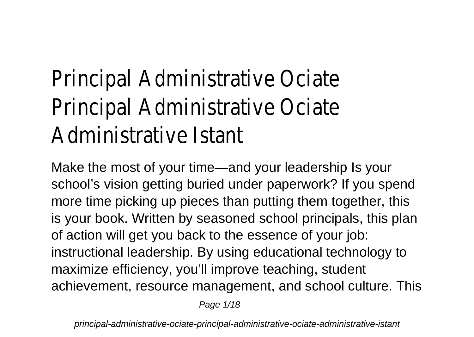## Principal Administrative Ociate Principal Administrative Ociate Administrative Istant

Make the most of your time—and your leadership Is your school's vision getting buried under paperwork? If you spend more time picking up pieces than putting them together, this is your book. Written by seasoned school principals, this plan of action will get you back to the essence of your job: instructional leadership. By using educational technology to maximize efficiency, you'll improve teaching, student achievement, resource management, and school culture. This

Page 1/18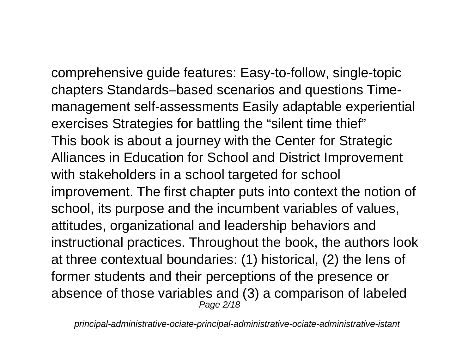comprehensive guide features: Easy-to-follow, single-topic chapters Standards–based scenarios and questions Timemanagement self-assessments Easily adaptable experiential exercises Strategies for battling the "silent time thief" This book is about a journey with the Center for Strategic Alliances in Education for School and District Improvement with stakeholders in a school targeted for school improvement. The first chapter puts into context the notion of school, its purpose and the incumbent variables of values, attitudes, organizational and leadership behaviors and instructional practices. Throughout the book, the authors look at three contextual boundaries: (1) historical, (2) the lens of former students and their perceptions of the presence or absence of those variables and (3) a comparison of labeled Page 2/18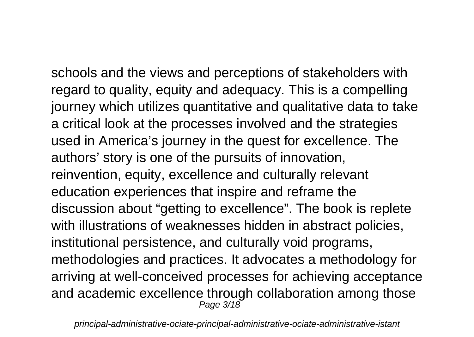schools and the views and perceptions of stakeholders with regard to quality, equity and adequacy. This is a compelling journey which utilizes quantitative and qualitative data to take a critical look at the processes involved and the strategies used in America's journey in the quest for excellence. The authors' story is one of the pursuits of innovation, reinvention, equity, excellence and culturally relevant education experiences that inspire and reframe the discussion about "getting to excellence". The book is replete with illustrations of weaknesses hidden in abstract policies, institutional persistence, and culturally void programs, methodologies and practices. It advocates a methodology for arriving at well-conceived processes for achieving acceptance and academic excellence through collaboration among those Page 3/18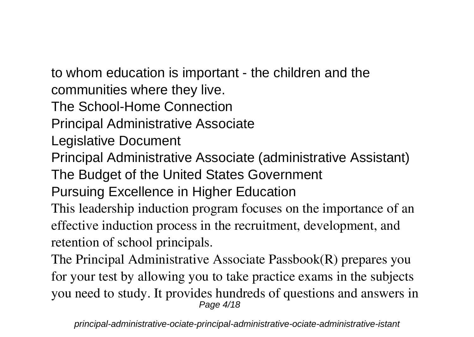to whom education is important - the children and the communities where they live.

The School-Home Connection

Principal Administrative Associate

Legislative Document

Principal Administrative Associate (administrative Assistant)

The Budget of the United States Government

Pursuing Excellence in Higher Education

This leadership induction program focuses on the importance of an effective induction process in the recruitment, development, and retention of school principals.

The Principal Administrative Associate Passbook(R) prepares you for your test by allowing you to take practice exams in the subjects you need to study. It provides hundreds of questions and answers in Page 4/18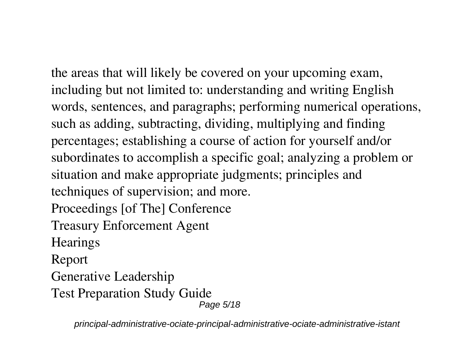the areas that will likely be covered on your upcoming exam, including but not limited to: understanding and writing English words, sentences, and paragraphs; performing numerical operations, such as adding, subtracting, dividing, multiplying and finding percentages; establishing a course of action for yourself and/or subordinates to accomplish a specific goal; analyzing a problem or situation and make appropriate judgments; principles and techniques of supervision; and more. Proceedings [of The] Conference Treasury Enforcement Agent **Hearings** Report Generative Leadership Test Preparation Study Guide Page 5/18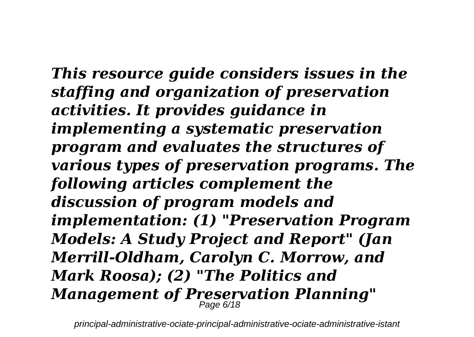*This resource guide considers issues in the staffing and organization of preservation activities. It provides guidance in implementing a systematic preservation program and evaluates the structures of various types of preservation programs. The following articles complement the discussion of program models and implementation: (1) "Preservation Program Models: A Study Project and Report" (Jan Merrill-Oldham, Carolyn C. Morrow, and Mark Roosa); (2) "The Politics and Management of Preservation Planning"* Page 6/18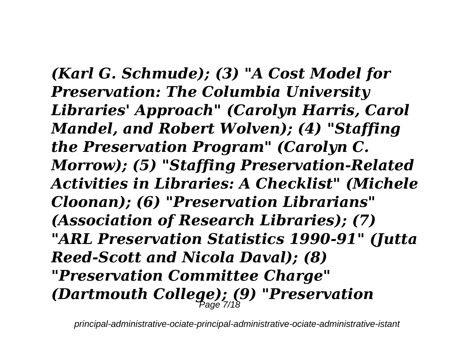*(Karl G. Schmude); (3) "A Cost Model for Preservation: The Columbia University Libraries' Approach" (Carolyn Harris, Carol Mandel, and Robert Wolven); (4) "Staffing the Preservation Program" (Carolyn C. Morrow); (5) "Staffing Preservation-Related Activities in Libraries: A Checklist" (Michele Cloonan); (6) "Preservation Librarians" (Association of Research Libraries); (7) "ARL Preservation Statistics 1990-91" (Jutta Reed-Scott and Nicola Daval); (8) "Preservation Committee Charge" (Dartmouth College); (9) "Preservation* Page 7/18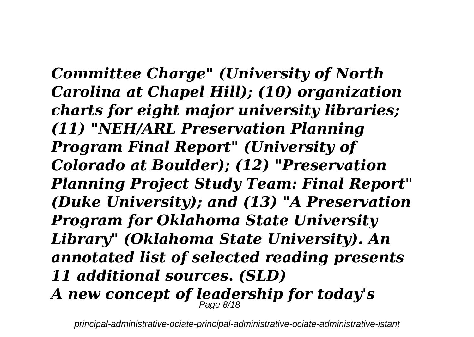*Committee Charge" (University of North Carolina at Chapel Hill); (10) organization charts for eight major university libraries; (11) "NEH/ARL Preservation Planning Program Final Report" (University of Colorado at Boulder); (12) "Preservation Planning Project Study Team: Final Report" (Duke University); and (13) "A Preservation Program for Oklahoma State University Library" (Oklahoma State University). An annotated list of selected reading presents 11 additional sources. (SLD) A new concept of leadership for today's* Page 8/18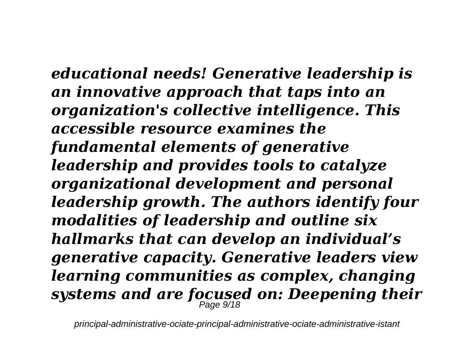*educational needs! Generative leadership is an innovative approach that taps into an organization's collective intelligence. This accessible resource examines the fundamental elements of generative leadership and provides tools to catalyze organizational development and personal leadership growth. The authors identify four modalities of leadership and outline six hallmarks that can develop an individual's generative capacity. Generative leaders view learning communities as complex, changing systems and are focused on: Deepening their* Page 9/18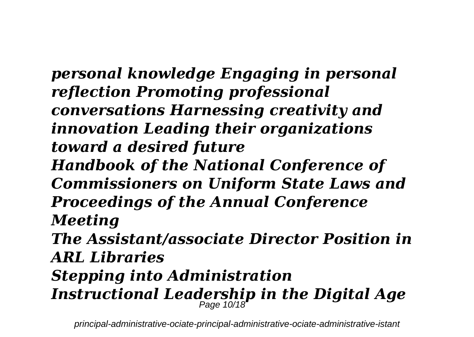*personal knowledge Engaging in personal reflection Promoting professional conversations Harnessing creativity and innovation Leading their organizations toward a desired future Handbook of the National Conference of Commissioners on Uniform State Laws and Proceedings of the Annual Conference Meeting The Assistant/associate Director Position in ARL Libraries Stepping into Administration Instructional Leadership in the Digital Age* Page 10/18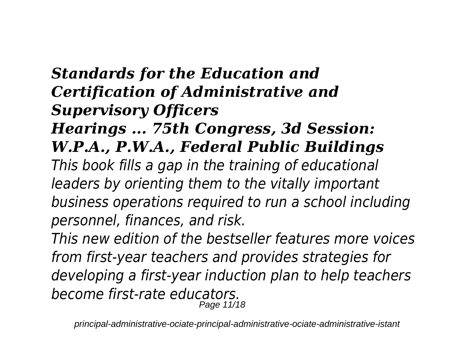## *Standards for the Education and Certification of Administrative and Supervisory Officers*

## *Hearings ... 75th Congress, 3d Session: W.P.A., P.W.A., Federal Public Buildings*

*This book fills a gap in the training of educational leaders by orienting them to the vitally important business operations required to run a school including personnel, finances, and risk.*

*This new edition of the bestseller features more voices from first-year teachers and provides strategies for developing a first-year induction plan to help teachers become first-rate educators.* Page 11/18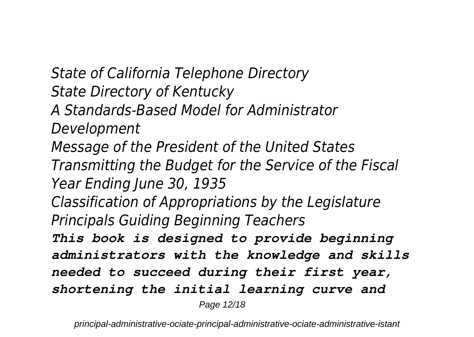*State of California Telephone Directory State Directory of Kentucky A Standards-Based Model for Administrator Development Message of the President of the United States Transmitting the Budget for the Service of the Fiscal Year Ending June 30, 1935 Classification of Appropriations by the Legislature Principals Guiding Beginning Teachers This book is designed to provide beginning administrators with the knowledge and skills needed to succeed during their first year, shortening the initial learning curve and* Page 12/18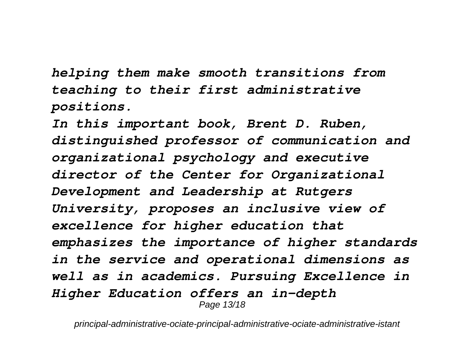*helping them make smooth transitions from teaching to their first administrative positions.*

*In this important book, Brent D. Ruben, distinguished professor of communication and organizational psychology and executive director of the Center for Organizational Development and Leadership at Rutgers University, proposes an inclusive view of excellence for higher education that emphasizes the importance of higher standards in the service and operational dimensions as well as in academics. Pursuing Excellence in Higher Education offers an in-depth* Page 13/18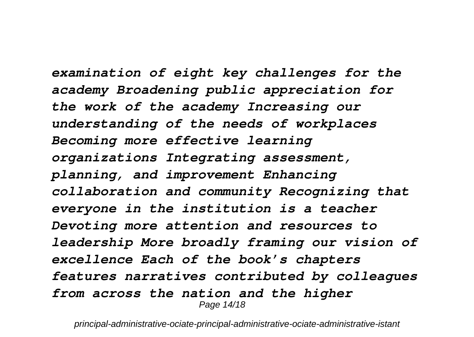*examination of eight key challenges for the academy Broadening public appreciation for the work of the academy Increasing our understanding of the needs of workplaces Becoming more effective learning organizations Integrating assessment, planning, and improvement Enhancing collaboration and community Recognizing that everyone in the institution is a teacher Devoting more attention and resources to leadership More broadly framing our vision of excellence Each of the book's chapters features narratives contributed by colleagues from across the nation and the higher* Page 14/18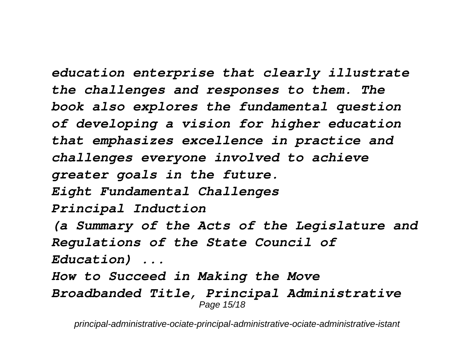*education enterprise that clearly illustrate the challenges and responses to them. The book also explores the fundamental question of developing a vision for higher education that emphasizes excellence in practice and challenges everyone involved to achieve greater goals in the future. Eight Fundamental Challenges Principal Induction (a Summary of the Acts of the Legislature and Regulations of the State Council of Education) ...*

*How to Succeed in Making the Move Broadbanded Title, Principal Administrative* Page 15/18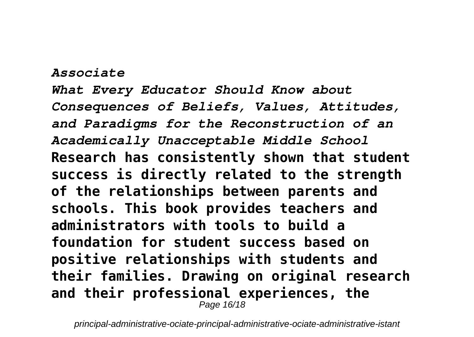## *Associate*

*What Every Educator Should Know about Consequences of Beliefs, Values, Attitudes, and Paradigms for the Reconstruction of an Academically Unacceptable Middle School* **Research has consistently shown that student success is directly related to the strength of the relationships between parents and schools. This book provides teachers and administrators with tools to build a foundation for student success based on positive relationships with students and their families. Drawing on original research and their professional experiences, the** Page 16/18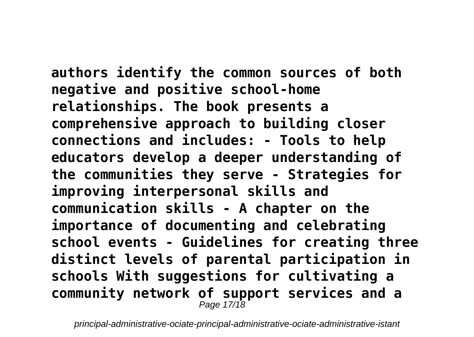**authors identify the common sources of both negative and positive school-home relationships. The book presents a comprehensive approach to building closer connections and includes: - Tools to help educators develop a deeper understanding of the communities they serve - Strategies for improving interpersonal skills and communication skills - A chapter on the importance of documenting and celebrating school events - Guidelines for creating three distinct levels of parental participation in schools With suggestions for cultivating a community network of support services and a** Page 17/18